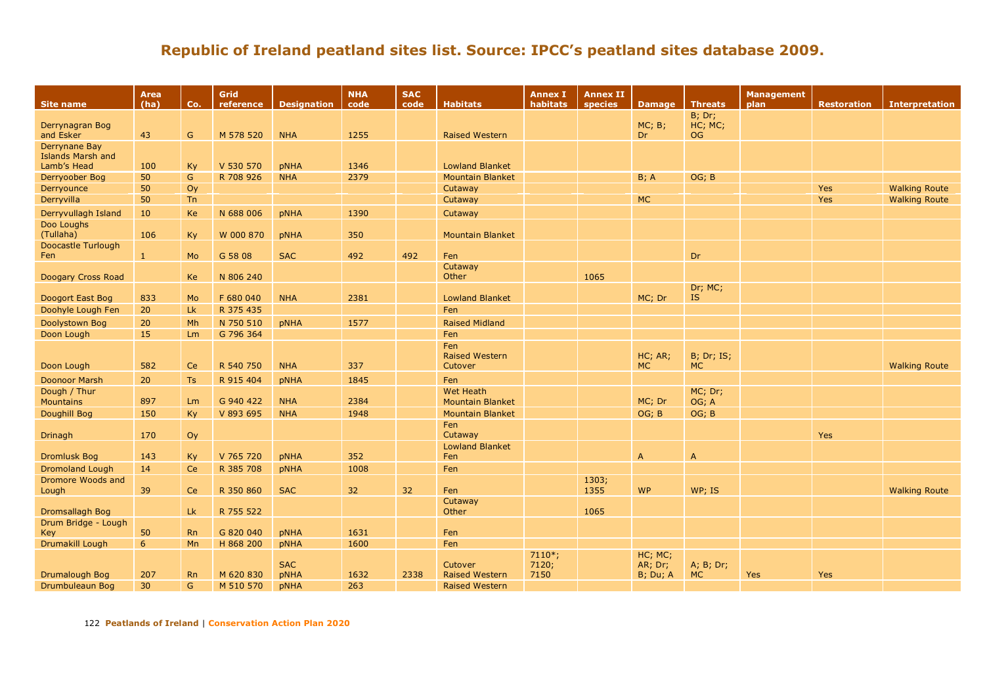| <b>Site name</b>                        | Area<br>(ha) | Co.       | Grid<br>reference | <b>Designation</b> | <b>NHA</b><br>code | <b>SAC</b><br>code | <b>Habitats</b>                  | <b>Annex I</b><br>habitats | <b>Annex II</b><br>species | <b>Damage</b>        | <b>Threats</b>                  | <b>Management</b><br>plan | <b>Restoration</b> | <b>Interpretation</b> |
|-----------------------------------------|--------------|-----------|-------------------|--------------------|--------------------|--------------------|----------------------------------|----------------------------|----------------------------|----------------------|---------------------------------|---------------------------|--------------------|-----------------------|
|                                         |              |           |                   |                    |                    |                    |                                  |                            |                            |                      | $B$ ; Dr;                       |                           |                    |                       |
| Derrynagran Bog                         |              |           |                   |                    |                    |                    |                                  |                            |                            | MC; B;               | HC; MC;                         |                           |                    |                       |
| and Esker                               | 43           | G         | M 578 520         | <b>NHA</b>         | 1255               |                    | <b>Raised Western</b>            |                            |                            | Dr                   | <b>OG</b>                       |                           |                    |                       |
| Derrynane Bay                           |              |           |                   |                    |                    |                    |                                  |                            |                            |                      |                                 |                           |                    |                       |
| <b>Islands Marsh and</b><br>Lamb's Head | 100          | Ky        | V 530 570         | <b>pNHA</b>        | 1346               |                    | <b>Lowland Blanket</b>           |                            |                            |                      |                                 |                           |                    |                       |
| Derryoober Bog                          | 50           | G         | R 708 926         | <b>NHA</b>         | 2379               |                    | <b>Mountain Blanket</b>          |                            |                            | B; A                 | OG; B                           |                           |                    |                       |
| Derryounce                              | 50           | Oy        |                   |                    |                    |                    | Cutaway                          |                            |                            |                      |                                 |                           | Yes                | <b>Walking Route</b>  |
| Derryvilla                              | 50           | <b>Tn</b> |                   |                    |                    |                    | Cutaway                          |                            |                            | <b>MC</b>            |                                 |                           | Yes                | <b>Walking Route</b>  |
| Derryvullagh Island                     | 10           | Ke        | N 688 006         | <b>pNHA</b>        | 1390               |                    | Cutaway                          |                            |                            |                      |                                 |                           |                    |                       |
| Doo Loughs                              |              |           |                   |                    |                    |                    |                                  |                            |                            |                      |                                 |                           |                    |                       |
| (Tullaha)                               | 106          | Ky        | W 000 870         | <b>pNHA</b>        | 350                |                    | <b>Mountain Blanket</b>          |                            |                            |                      |                                 |                           |                    |                       |
| Doocastle Turlough                      |              |           |                   |                    |                    |                    |                                  |                            |                            |                      |                                 |                           |                    |                       |
| Fen                                     | -1           | Mo        | G 58 08           | <b>SAC</b>         | 492                | 492                | Fen                              |                            |                            |                      | Dr                              |                           |                    |                       |
|                                         |              |           |                   |                    |                    |                    | Cutaway                          |                            |                            |                      |                                 |                           |                    |                       |
| Doogary Cross Road                      |              | Ke        | N 806 240         |                    |                    |                    | Other                            |                            | 1065                       |                      |                                 |                           |                    |                       |
|                                         |              |           |                   |                    |                    |                    |                                  |                            |                            |                      | Dr; MC;                         |                           |                    |                       |
| Doogort East Bog                        | 833          | Mo        | F 680 040         | <b>NHA</b>         | 2381               |                    | <b>Lowland Blanket</b>           |                            |                            | MC; Dr               | <b>IS</b>                       |                           |                    |                       |
| Doohyle Lough Fen                       | 20           | Lk        | R 375 435         |                    |                    |                    | Fen                              |                            |                            |                      |                                 |                           |                    |                       |
| Doolystown Bog                          | 20           | Mh        | N 750 510         | <b>pNHA</b>        | 1577               |                    | <b>Raised Midland</b>            |                            |                            |                      |                                 |                           |                    |                       |
| Doon Lough                              | 15           | Lm        | G 796 364         |                    |                    |                    | Fen                              |                            |                            |                      |                                 |                           |                    |                       |
|                                         |              |           |                   |                    |                    |                    | Fen                              |                            |                            |                      |                                 |                           |                    |                       |
|                                         |              | Ce        | R 540 750         |                    | 337                |                    | <b>Raised Western</b>            |                            |                            | HC; AR;<br><b>MC</b> | <b>B</b> ; Dr; IS;<br><b>MC</b> |                           |                    |                       |
| Doon Lough                              | 582          |           |                   | <b>NHA</b>         |                    |                    | Cutover                          |                            |                            |                      |                                 |                           |                    | <b>Walking Route</b>  |
| <b>Doonoor Marsh</b>                    | 20           | Ts        | R 915 404         | <b>pNHA</b>        | 1845               |                    | Fen                              |                            |                            |                      |                                 |                           |                    |                       |
| Dough / Thur                            |              |           |                   |                    | 2384               |                    | <b>Wet Heath</b>                 |                            |                            |                      | MC; Dr;                         |                           |                    |                       |
| <b>Mountains</b>                        | 897          | Lm        | G 940 422         | <b>NHA</b>         |                    |                    | <b>Mountain Blanket</b>          |                            |                            | MC; Dr               | OG; A                           |                           |                    |                       |
| Doughill Bog                            | 150          | Ky        | V 893 695         | <b>NHA</b>         | 1948               |                    | <b>Mountain Blanket</b>          |                            |                            | OG; B                | OG; B                           |                           |                    |                       |
| Drinagh                                 | 170          | Oy        |                   |                    |                    |                    | Fen<br>Cutaway                   |                            |                            |                      |                                 |                           | Yes                |                       |
|                                         |              |           |                   |                    |                    |                    | <b>Lowland Blanket</b>           |                            |                            |                      |                                 |                           |                    |                       |
| <b>Dromlusk Bog</b>                     | 143          | Ky        | V 765 720         | <b>pNHA</b>        | 352                |                    | Fen                              |                            |                            | A                    | $\mathsf{A}$                    |                           |                    |                       |
| <b>Dromoland Lough</b>                  | 14           | Ce        | R 385 708         | <b>pNHA</b>        | 1008               |                    | Fen                              |                            |                            |                      |                                 |                           |                    |                       |
| Dromore Woods and                       |              |           |                   |                    |                    |                    |                                  |                            | 1303;                      |                      |                                 |                           |                    |                       |
| Lough                                   | 39           | Ce        | R 350 860         | <b>SAC</b>         | 32                 | 32                 | Fen                              |                            | 1355                       | <b>WP</b>            | WP; IS                          |                           |                    | <b>Walking Route</b>  |
|                                         |              |           |                   |                    |                    |                    | Cutaway                          |                            |                            |                      |                                 |                           |                    |                       |
| Dromsallagh Bog                         |              | Lk        | R 755 522         |                    |                    |                    | Other                            |                            | 1065                       |                      |                                 |                           |                    |                       |
| Drum Bridge - Lough                     |              |           |                   |                    |                    |                    |                                  |                            |                            |                      |                                 |                           |                    |                       |
| Key                                     | 50           | <b>Rn</b> | G 820 040         | <b>pNHA</b>        | 1631               |                    | Fen                              |                            |                            |                      |                                 |                           |                    |                       |
| Drumakill Lough                         | 6            | Mn        | H 868 200         | <b>pNHA</b>        | 1600               |                    | Fen                              |                            |                            |                      |                                 |                           |                    |                       |
|                                         |              |           |                   | <b>SAC</b>         |                    |                    |                                  | $7110*;$<br>7120;          |                            | HC; MC;<br>AR; Dr;   |                                 |                           |                    |                       |
| Drumalough Bog                          | 207          | <b>Rn</b> | M 620 830         | <b>pNHA</b>        | 1632               | 2338               | Cutover<br><b>Raised Western</b> | 7150                       |                            | <b>B</b> ; Du; A     | A; B; Dr;<br><b>MC</b>          | <b>Yes</b>                | Yes                |                       |
| Drumbuleaun Bog                         | 30           | G         | M 510 570         | <b>pNHA</b>        | 263                |                    | <b>Raised Western</b>            |                            |                            |                      |                                 |                           |                    |                       |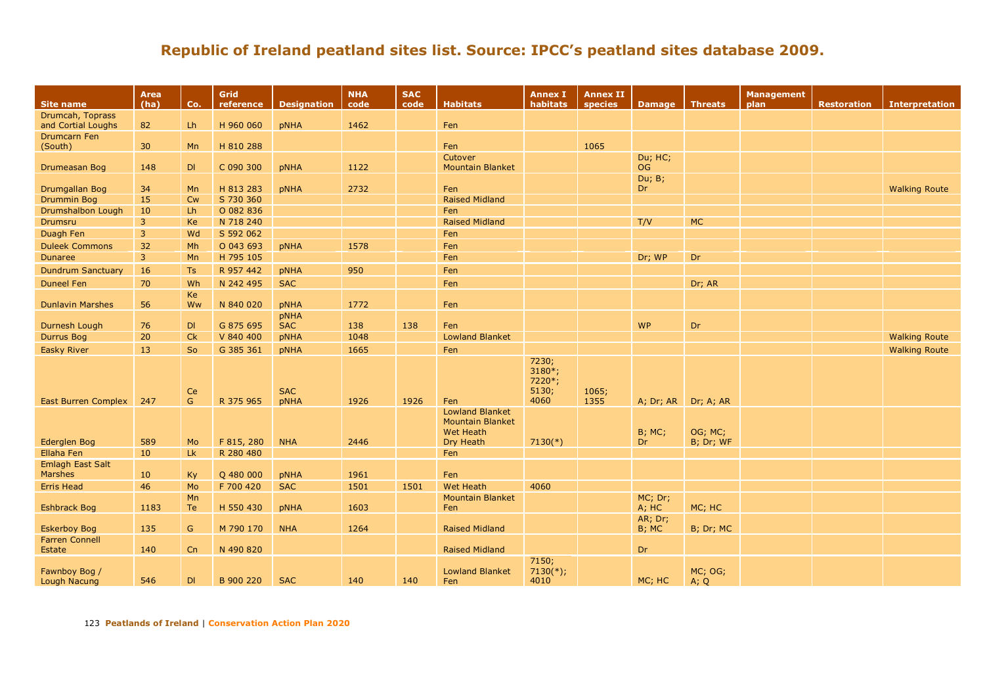| <b>Site name</b>              | <b>Area</b><br>(ha) | Co.       | Grid<br>reference | <b>Designation</b>        | <b>NHA</b><br>code | <b>SAC</b><br>code | <b>Habitats</b>                                                                    | <b>Annex I</b><br>habitats          | <b>Annex II</b><br>species | <b>Damage</b>         | <b>Threats</b>       | <b>Management</b><br>plan | <b>Restoration</b> | <b>Interpretation</b> |
|-------------------------------|---------------------|-----------|-------------------|---------------------------|--------------------|--------------------|------------------------------------------------------------------------------------|-------------------------------------|----------------------------|-----------------------|----------------------|---------------------------|--------------------|-----------------------|
| Drumcah, Toprass              |                     |           |                   |                           |                    |                    |                                                                                    |                                     |                            |                       |                      |                           |                    |                       |
| and Cortial Loughs            | 82                  | Lh        | H 960 060         | <b>pNHA</b>               | 1462               |                    | Fen                                                                                |                                     |                            |                       |                      |                           |                    |                       |
| Drumcarn Fen<br>(South)       | 30 <sup>°</sup>     | Mn        | H 810 288         |                           |                    |                    | Fen                                                                                |                                     | 1065                       |                       |                      |                           |                    |                       |
| Drumeasan Bog                 | 148                 | DI        | C 090 300         | <b>pNHA</b>               | 1122               |                    | Cutover<br><b>Mountain Blanket</b>                                                 |                                     |                            | Du; HC;<br><b>OG</b>  |                      |                           |                    |                       |
| Drumgallan Bog                | 34                  | <b>Mn</b> | H 813 283         | <b>pNHA</b>               | 2732               |                    | Fen                                                                                |                                     |                            | Du; B;<br>Dr          |                      |                           |                    | <b>Walking Route</b>  |
| <b>Drummin Bog</b>            | 15                  | <b>Cw</b> | S 730 360         |                           |                    |                    | <b>Raised Midland</b>                                                              |                                     |                            |                       |                      |                           |                    |                       |
| Drumshalbon Lough             | 10                  | Lh        | O 082 836         |                           |                    |                    | Fen                                                                                |                                     |                            |                       |                      |                           |                    |                       |
| <b>Drumsru</b>                | $\overline{3}$      | Ke        | N 718 240         |                           |                    |                    | <b>Raised Midland</b>                                                              |                                     |                            | T/V                   | <b>MC</b>            |                           |                    |                       |
| Duagh Fen                     | 3                   | Wd        | S 592 062         |                           |                    |                    | Fen                                                                                |                                     |                            |                       |                      |                           |                    |                       |
| <b>Duleek Commons</b>         | 32                  | Mh        | O 043 693         | <b>pNHA</b>               | 1578               |                    | Fen                                                                                |                                     |                            |                       |                      |                           |                    |                       |
| <b>Dunaree</b>                | $\overline{3}$      | Mn        | H 795 105         |                           |                    |                    | Fen                                                                                |                                     |                            | Dr; WP                | Dr                   |                           |                    |                       |
| <b>Dundrum Sanctuary</b>      | 16                  | Ts        | R 957 442         | <b>pNHA</b>               | 950                |                    | Fen                                                                                |                                     |                            |                       |                      |                           |                    |                       |
| <b>Duneel Fen</b>             | 70                  | Wh        | N 242 495         | <b>SAC</b>                |                    |                    | Fen                                                                                |                                     |                            |                       | Dr; AR               |                           |                    |                       |
|                               |                     | Ke        |                   |                           |                    |                    |                                                                                    |                                     |                            |                       |                      |                           |                    |                       |
| <b>Dunlavin Marshes</b>       | 56                  | Ww        | N 840 020         | pNHA                      | 1772               |                    | Fen                                                                                |                                     |                            |                       |                      |                           |                    |                       |
| Durnesh Lough                 | 76                  | DI        | G 875 695         | pNHA<br><b>SAC</b>        | 138                | 138                | Fen                                                                                |                                     |                            | <b>WP</b>             | Dr                   |                           |                    |                       |
| <b>Durrus Bog</b>             | 20                  | Ck        | V 840 400         | pNHA                      | 1048               |                    | <b>Lowland Blanket</b>                                                             |                                     |                            |                       |                      |                           |                    | <b>Walking Route</b>  |
| <b>Easky River</b>            | 13                  | So        | G 385 361         |                           | 1665               |                    | Fen                                                                                |                                     |                            |                       |                      |                           |                    | <b>Walking Route</b>  |
|                               |                     |           |                   | pNHA                      |                    |                    |                                                                                    | 7230;                               |                            |                       |                      |                           |                    |                       |
| <b>East Burren Complex</b>    | 247                 | Ce<br>G.  | R 375 965         | <b>SAC</b><br><b>pNHA</b> | 1926               | 1926               | Fen                                                                                | $3180*;$<br>7220*;<br>5130;<br>4060 | 1065;<br>1355              | A; Dr; AR             | Dr; A; AR            |                           |                    |                       |
| Ederglen Bog                  | 589                 | Mo        | F 815, 280        | <b>NHA</b>                | 2446               |                    | <b>Lowland Blanket</b><br><b>Mountain Blanket</b><br><b>Wet Heath</b><br>Dry Heath | $7130(*)$                           |                            | <b>B</b> ; MC;<br>Dr. | OG; MC;<br>B; Dr; WF |                           |                    |                       |
| Ellaha Fen                    | 10                  | Lk        | R 280 480         |                           |                    |                    | Fen                                                                                |                                     |                            |                       |                      |                           |                    |                       |
| Emlagh East Salt              |                     |           |                   |                           |                    |                    |                                                                                    |                                     |                            |                       |                      |                           |                    |                       |
| <b>Marshes</b>                | 10                  | Ky        | Q 480 000         | <b>pNHA</b>               | 1961               |                    | Fen                                                                                |                                     |                            |                       |                      |                           |                    |                       |
| <b>Erris Head</b>             | 46                  | Mo        | F 700 420         | <b>SAC</b>                | 1501               | 1501               | <b>Wet Heath</b>                                                                   | 4060                                |                            |                       |                      |                           |                    |                       |
| <b>Eshbrack Bog</b>           | 1183                | Mn<br>Te  | H 550 430         | <b>pNHA</b>               | 1603               |                    | <b>Mountain Blanket</b><br>Fen                                                     |                                     |                            | MC; Dr;<br>A; HC      | MC; HC               |                           |                    |                       |
| <b>Eskerboy Bog</b>           | 135                 | G         | M 790 170         | <b>NHA</b>                | 1264               |                    | <b>Raised Midland</b>                                                              |                                     |                            | AR; Dr;<br>B; MC      | B; Dr; MC            |                           |                    |                       |
| <b>Farren Connell</b>         |                     |           |                   |                           |                    |                    |                                                                                    |                                     |                            |                       |                      |                           |                    |                       |
| Estate                        | 140                 | Cn        | N 490 820         |                           |                    |                    | <b>Raised Midland</b>                                                              |                                     |                            | Dr                    |                      |                           |                    |                       |
| Fawnboy Bog /<br>Lough Nacung | 546                 | DI        | B 900 220         | <b>SAC</b>                | 140                | 140                | <b>Lowland Blanket</b><br>Fen                                                      | 7150;<br>$7130(*)$ ;<br>4010        |                            | MC; HC                | MC; OG;<br>A; Q      |                           |                    |                       |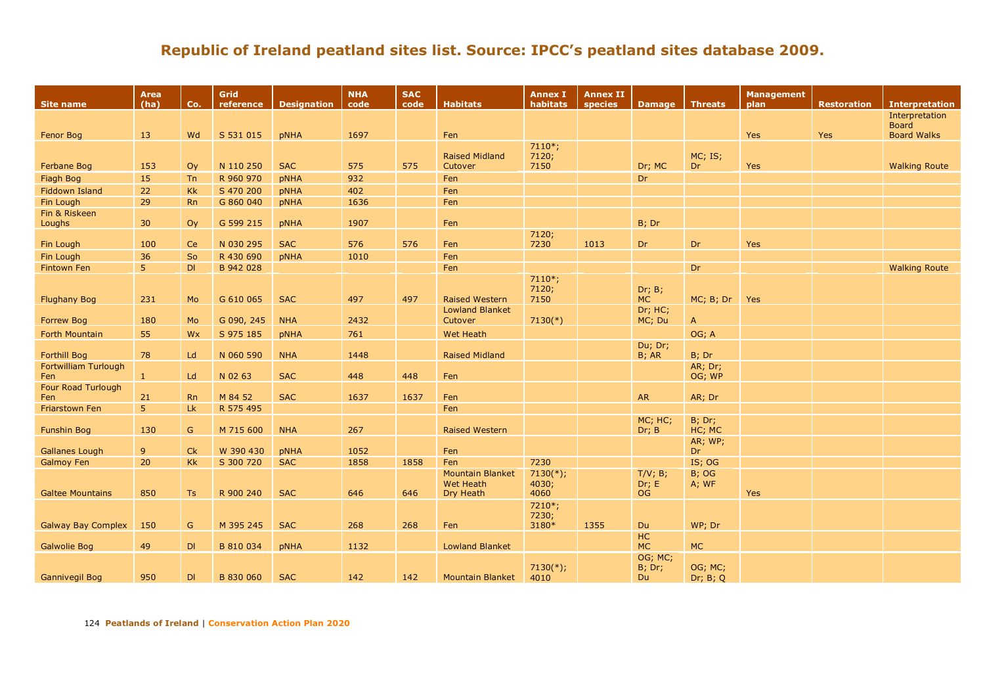| Site name                          | Area<br>(ha)         | Co.           | Grid<br>reference | <b>Designation</b> | <b>NHA</b><br>code | <b>SAC</b><br>code | <b>Habitats</b>                      | <b>Annex I</b><br>habitats | <b>Annex II</b><br>species | <b>Damage</b>        | <b>Threats</b>         | Management<br>plan | <b>Restoration</b> | <b>Interpretation</b> |
|------------------------------------|----------------------|---------------|-------------------|--------------------|--------------------|--------------------|--------------------------------------|----------------------------|----------------------------|----------------------|------------------------|--------------------|--------------------|-----------------------|
|                                    |                      |               |                   |                    |                    |                    |                                      |                            |                            |                      |                        |                    |                    | Interpretation        |
|                                    |                      |               |                   |                    |                    |                    |                                      |                            |                            |                      |                        |                    |                    | <b>Board</b>          |
| Fenor Bog                          | 13                   | Wd            | S 531 015         | <b>pNHA</b>        | 1697               |                    | Fen                                  | $7110*;$                   |                            |                      |                        | Yes                | Yes                | <b>Board Walks</b>    |
|                                    |                      |               |                   |                    |                    |                    | <b>Raised Midland</b>                | 7120;                      |                            |                      | MC; IS;                |                    |                    |                       |
| Ferbane Bog                        | 153                  | Oy            | N 110 250         | <b>SAC</b>         | 575                | 575                | Cutover                              | 7150                       |                            | Dr; MC               | Dr                     | Yes                |                    | <b>Walking Route</b>  |
| Fiagh Bog                          | 15                   | Tn            | R 960 970         | pNHA               | 932                |                    | Fen                                  |                            |                            | Dr                   |                        |                    |                    |                       |
| <b>Fiddown Island</b>              | 22                   | Kk            | S 470 200         | <b>pNHA</b>        | 402                |                    | Fen                                  |                            |                            |                      |                        |                    |                    |                       |
| Fin Lough                          | 29                   | <b>Rn</b>     | G 860 040         | pNHA               | 1636               |                    | Fen                                  |                            |                            |                      |                        |                    |                    |                       |
| Fin & Riskeen                      |                      |               |                   |                    |                    |                    |                                      |                            |                            |                      |                        |                    |                    |                       |
| Loughs                             | 30 <sup>°</sup>      | Oy            | G 599 215         | pNHA               | 1907               |                    | Fen                                  |                            |                            | B; Dr                |                        |                    |                    |                       |
|                                    | 100                  |               | N 030 295         | <b>SAC</b>         | 576                | 576                |                                      | 7120;<br>7230              | 1013                       |                      |                        |                    |                    |                       |
| Fin Lough                          |                      | Ce<br>So      | R 430 690         |                    |                    |                    | Fen<br>Fen                           |                            |                            | Dr                   | Dr                     | Yes                |                    |                       |
| Fin Lough<br><b>Fintown Fen</b>    | 36<br>5 <sup>°</sup> | DI            | B 942 028         | <b>pNHA</b>        | 1010               |                    |                                      |                            |                            |                      |                        |                    |                    |                       |
|                                    |                      |               |                   |                    |                    |                    | Fen                                  | $7110*;$                   |                            |                      | Dr                     |                    |                    | <b>Walking Route</b>  |
|                                    |                      |               |                   |                    |                    |                    |                                      | 7120;                      |                            | Dr; B;               |                        |                    |                    |                       |
| <b>Flughany Bog</b>                | 231                  | Mo            | G 610 065         | <b>SAC</b>         | 497                | 497                | <b>Raised Western</b>                | 7150                       |                            | <b>MC</b>            | MC; B; Dr              | Yes                |                    |                       |
|                                    |                      |               |                   |                    |                    |                    | <b>Lowland Blanket</b>               |                            |                            | Dr; HC;              |                        |                    |                    |                       |
| <b>Forrew Bog</b>                  | 180                  | Mo            | G 090, 245        | <b>NHA</b>         | 2432               |                    | Cutover                              | $7130(*)$                  |                            | MC; Du               | $\mathsf{A}$           |                    |                    |                       |
| Forth Mountain                     | 55                   | Wx            | S 975 185         | pNHA               | 761                |                    | Wet Heath                            |                            |                            |                      | OG; A                  |                    |                    |                       |
|                                    |                      |               |                   |                    |                    |                    |                                      |                            |                            | Du; Dr;              |                        |                    |                    |                       |
| <b>Forthill Bog</b>                | 78                   | Ld            | N 060 590         | <b>NHA</b>         | 1448               |                    | <b>Raised Midland</b>                |                            |                            | B; AR                | B; Dr                  |                    |                    |                       |
| <b>Fortwilliam Turlough</b><br>Fen | $\mathbf{1}$         | Ld            | N 02 63           | <b>SAC</b>         | 448                | 448                | Fen                                  |                            |                            |                      | AR; Dr;<br>OG; WP      |                    |                    |                       |
| Four Road Turlough                 |                      |               |                   |                    |                    |                    |                                      |                            |                            |                      |                        |                    |                    |                       |
| Fen                                | 21                   | <b>Rn</b>     | M 84 52           | <b>SAC</b>         | 1637               | 1637               | Fen                                  |                            |                            | <b>AR</b>            | AR; Dr                 |                    |                    |                       |
| <b>Friarstown Fen</b>              | 5 <sup>°</sup>       | Lk            | R 575 495         |                    |                    |                    | Fen                                  |                            |                            |                      |                        |                    |                    |                       |
|                                    |                      |               |                   |                    |                    |                    |                                      |                            |                            | MC; HC;              | B; Dr;                 |                    |                    |                       |
| <b>Funshin Bog</b>                 | 130                  | G             | M 715 600         | <b>NHA</b>         | 267                |                    | <b>Raised Western</b>                |                            |                            | Dr; B                | HC; MC                 |                    |                    |                       |
|                                    |                      |               |                   |                    |                    |                    |                                      |                            |                            |                      | AR; WP;                |                    |                    |                       |
| <b>Gallanes Lough</b>              | 9                    | <b>Ck</b>     | W 390 430         | pNHA               | 1052               |                    | Fen                                  |                            |                            |                      | Dr                     |                    |                    |                       |
| <b>Galmoy Fen</b>                  | 20                   | <b>Kk</b>     | S 300 720         | <b>SAC</b>         | 1858               | 1858               | Fen                                  | 7230                       |                            |                      | IS; OG                 |                    |                    |                       |
|                                    |                      |               |                   |                    |                    |                    | <b>Mountain Blanket</b><br>Wet Heath | $7130(*)$ ;<br>4030;       |                            | T/V; B;<br>Dr; E     | <b>B</b> ; OG<br>A; WF |                    |                    |                       |
| <b>Galtee Mountains</b>            | 850                  | Ts            | R 900 240         | <b>SAC</b>         | 646                | 646                | Dry Heath                            | 4060                       |                            | <b>OG</b>            |                        | Yes                |                    |                       |
|                                    |                      |               |                   |                    |                    |                    |                                      | 7210*;                     |                            |                      |                        |                    |                    |                       |
|                                    |                      |               |                   |                    |                    |                    |                                      | 7230;                      |                            |                      |                        |                    |                    |                       |
| <b>Galway Bay Complex</b>          | 150                  | ${\mathsf G}$ | M 395 245         | <b>SAC</b>         | 268                | 268                | Fen                                  | 3180*                      | 1355                       | Du                   | WP; Dr                 |                    |                    |                       |
|                                    |                      |               |                   |                    |                    |                    |                                      |                            |                            | HC                   |                        |                    |                    |                       |
| <b>Galwolie Bog</b>                | 49                   | DI            | B 810 034         | pNHA               | 1132               |                    | <b>Lowland Blanket</b>               |                            |                            | <b>MC</b><br>OG; MC; | <b>MC</b>              |                    |                    |                       |
|                                    |                      |               |                   |                    |                    |                    |                                      | $7130(*)$ ;                |                            | B; Dr;               | OG; MC;                |                    |                    |                       |
| <b>Gannivegil Bog</b>              | 950                  | DI            | B 830 060         | <b>SAC</b>         | 142                | 142                | <b>Mountain Blanket</b>              | 4010                       |                            | Du                   | Dr; $B$ ; Q            |                    |                    |                       |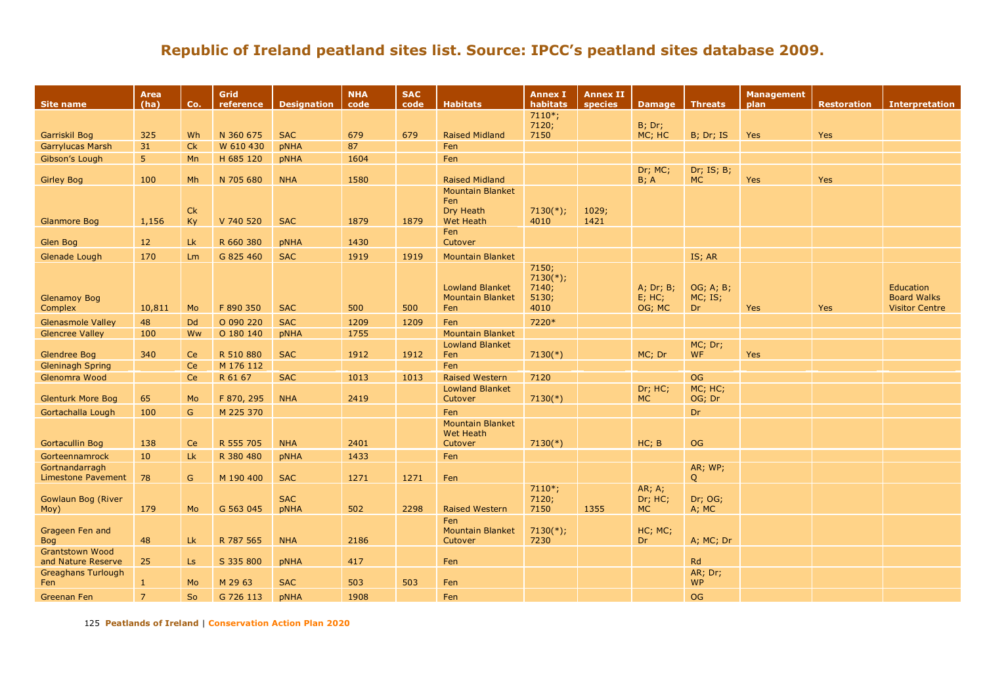| Site name                                    | <b>Area</b><br>(ha) | Co.             | Grid<br>reference      | <b>Designation</b> | <b>NHA</b><br>code | <b>SAC</b><br>code | <b>Habitats</b>                                          | <b>Annex I</b><br>habitats                     | <b>Annex II</b><br>species | Damage   Threats                 |                            | <b>Management</b><br>plan | <b>Restoration</b> | <b>Interpretation</b>                                    |
|----------------------------------------------|---------------------|-----------------|------------------------|--------------------|--------------------|--------------------|----------------------------------------------------------|------------------------------------------------|----------------------------|----------------------------------|----------------------------|---------------------------|--------------------|----------------------------------------------------------|
|                                              |                     |                 |                        |                    |                    |                    |                                                          | $7110*;$                                       |                            |                                  |                            |                           |                    |                                                          |
|                                              |                     |                 |                        | <b>SAC</b>         |                    |                    |                                                          | 7120;<br>7150                                  |                            | <b>B</b> ; Dr;                   |                            |                           |                    |                                                          |
| Garriskil Bog<br><b>Garrylucas Marsh</b>     | 325<br>31           | Wh<br><b>Ck</b> | N 360 675<br>W 610 430 | <b>pNHA</b>        | 679<br>87          | 679                | <b>Raised Midland</b><br>Fen                             |                                                |                            | MC; HC                           | B; Dr; IS                  | Yes                       | Yes                |                                                          |
| Gibson's Lough                               | 5 <sup>1</sup>      | Mn              | H 685 120              | <b>pNHA</b>        | 1604               |                    | Fen                                                      |                                                |                            |                                  |                            |                           |                    |                                                          |
|                                              |                     |                 |                        |                    |                    |                    |                                                          |                                                |                            | Dr; MC;                          | Dr; IS; B;                 |                           |                    |                                                          |
| <b>Girley Bog</b>                            | 100                 | Mh              | N 705 680              | <b>NHA</b>         | 1580               |                    | <b>Raised Midland</b>                                    |                                                |                            | B; A                             | <b>MC</b>                  | Yes                       | Yes                |                                                          |
|                                              |                     |                 |                        |                    |                    |                    | <b>Mountain Blanket</b>                                  |                                                |                            |                                  |                            |                           |                    |                                                          |
|                                              |                     | Ck              |                        |                    |                    |                    | Fen<br>Dry Heath                                         | $7130(*)$ ;                                    | 1029;                      |                                  |                            |                           |                    |                                                          |
| <b>Glanmore Bog</b>                          | 1,156               | Ky              | V 740 520              | <b>SAC</b>         | 1879               | 1879               | <b>Wet Heath</b>                                         | 4010                                           | 1421                       |                                  |                            |                           |                    |                                                          |
|                                              |                     |                 |                        |                    |                    |                    | Fen                                                      |                                                |                            |                                  |                            |                           |                    |                                                          |
| Glen Bog                                     | 12                  | <b>Lk</b>       | R 660 380              | pNHA               | 1430               |                    | Cutover                                                  |                                                |                            |                                  |                            |                           |                    |                                                          |
| Glenade Lough                                | 170                 | Lm              | G 825 460              | <b>SAC</b>         | 1919               | 1919               | <b>Mountain Blanket</b>                                  |                                                |                            |                                  | IS; AR                     |                           |                    |                                                          |
| <b>Glenamoy Bog</b><br>Complex               | 10,811              | Mo              | F 890 350              | <b>SAC</b>         | 500                | 500                | <b>Lowland Blanket</b><br><b>Mountain Blanket</b><br>Fen | 7150;<br>$7130(*)$ ;<br>7140;<br>5130;<br>4010 |                            | A; Dr; B;<br>$E$ ; HC;<br>OG; MC | OG; A; B;<br>MC; IS;<br>Dr | Yes                       | Yes                | Education<br><b>Board Walks</b><br><b>Visitor Centre</b> |
| <b>Glenasmole Valley</b>                     | 48                  | <b>Dd</b>       | O 090 220              | <b>SAC</b>         | 1209               | 1209               | Fen                                                      | 7220*                                          |                            |                                  |                            |                           |                    |                                                          |
| <b>Glencree Valley</b>                       | 100                 | Ww              | O 180 140              | pNHA               | 1755               |                    | <b>Mountain Blanket</b>                                  |                                                |                            |                                  |                            |                           |                    |                                                          |
| <b>Glendree Bog</b>                          | 340                 | Ce              | R 510 880              | <b>SAC</b>         | 1912               | 1912               | <b>Lowland Blanket</b><br>Fen                            | $7130(*)$                                      |                            | MC; Dr                           | MC; Dr;<br><b>WF</b>       | <b>Yes</b>                |                    |                                                          |
| <b>Gleninagh Spring</b>                      |                     | Ce              | M 176 112              |                    |                    |                    | Fen                                                      |                                                |                            |                                  |                            |                           |                    |                                                          |
| Glenomra Wood                                |                     | Ce              | R 61 67                | <b>SAC</b>         | 1013               | 1013               | <b>Raised Western</b>                                    | 7120                                           |                            |                                  | <b>OG</b>                  |                           |                    |                                                          |
| <b>Glenturk More Bog</b>                     | 65                  | Mo              | F 870, 295             | <b>NHA</b>         | 2419               |                    | <b>Lowland Blanket</b><br>Cutover                        | $7130(*)$                                      |                            | Dr; HC;<br><b>MC</b>             | MC; HC;<br>OG; Dr          |                           |                    |                                                          |
| Gortachalla Lough                            | 100                 | G               | M 225 370              |                    |                    |                    | Fen                                                      |                                                |                            |                                  | Dr                         |                           |                    |                                                          |
| Gortacullin Bog                              | 138                 | <b>Ce</b>       | R 555 705              | <b>NHA</b>         | 2401               |                    | <b>Mountain Blanket</b><br>Wet Heath<br>Cutover          | $7130(*)$                                      |                            | HC; B                            | <b>OG</b>                  |                           |                    |                                                          |
| Gorteennamrock                               | 10                  | Lk              | R 380 480              | pNHA               | 1433               |                    | Fen                                                      |                                                |                            |                                  |                            |                           |                    |                                                          |
| Gortnandarragh                               |                     |                 |                        |                    |                    |                    |                                                          |                                                |                            |                                  | AR; WP;                    |                           |                    |                                                          |
| <b>Limestone Pavement</b>                    | 78                  | G               | M 190 400              | <b>SAC</b>         | 1271               | 1271               | Fen                                                      |                                                |                            |                                  | Q                          |                           |                    |                                                          |
| Gowlaun Bog (River<br>Moy)                   | 179                 | <b>Mo</b>       | G 563 045              | <b>SAC</b><br>pNHA | 502                | 2298               | <b>Raised Western</b>                                    | $7110*;$<br>7120;<br>7150                      | 1355                       | AR; A;<br>Dr; HC;<br>MC.         | Dr; OG;<br>A; MC           |                           |                    |                                                          |
| Grageen Fen and<br><b>Bog</b>                | 48                  | <b>Lk</b>       | R 787 565              | <b>NHA</b>         | 2186               |                    | Fen<br><b>Mountain Blanket</b><br>Cutover                | $7130(*)$ ;<br>7230                            |                            | HC; MC;<br>Dr.                   | A; MC; Dr                  |                           |                    |                                                          |
| <b>Grantstown Wood</b><br>and Nature Reserve | 25                  | Ls              | S 335 800              | pNHA               | 417                |                    | Fen                                                      |                                                |                            |                                  | Rd                         |                           |                    |                                                          |
| <b>Greaghans Turlough</b><br>Fen             | $\mathbf{1}$        | Mo              | M 29 63                | <b>SAC</b>         | 503                | 503                | Fen                                                      |                                                |                            |                                  | AR; Dr;<br><b>WP</b>       |                           |                    |                                                          |
| Greenan Fen                                  | $\overline{7}$      | So              | G 726 113              | pNHA               | 1908               |                    | Fen                                                      |                                                |                            |                                  | <b>OG</b>                  |                           |                    |                                                          |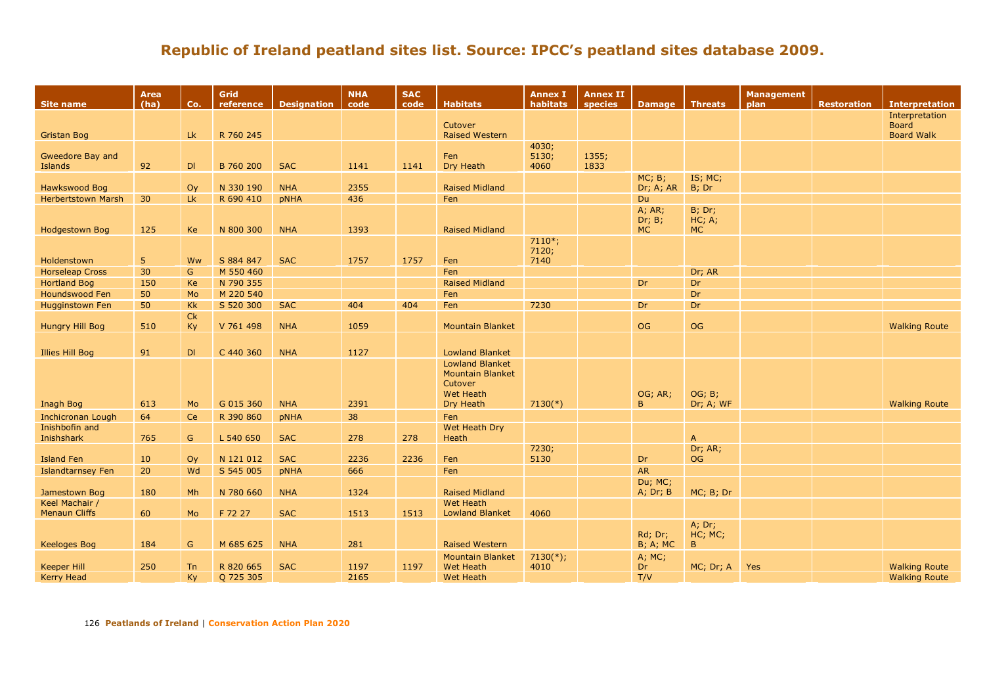| <b>Site name</b>          | Area<br>(ha) | Co.          | Grid<br>reference | <b>Designation</b> | <b>NHA</b><br>code | <b>SAC</b><br>code | <b>Habitats</b>                                   | <b>Annex I</b><br>habitats | <b>Annex II</b><br>species | <b>Damage</b>               | <b>Threats</b>       | <b>Management</b><br>plan | <b>Restoration</b> | <b>Interpretation</b> |
|---------------------------|--------------|--------------|-------------------|--------------------|--------------------|--------------------|---------------------------------------------------|----------------------------|----------------------------|-----------------------------|----------------------|---------------------------|--------------------|-----------------------|
|                           |              |              |                   |                    |                    |                    |                                                   |                            |                            |                             |                      |                           |                    | Interpretation        |
|                           |              |              |                   |                    |                    |                    | Cutover                                           |                            |                            |                             |                      |                           |                    | <b>Board</b>          |
| <b>Gristan Bog</b>        |              | Lk.          | R 760 245         |                    |                    |                    | <b>Raised Western</b>                             |                            |                            |                             |                      |                           |                    | <b>Board Walk</b>     |
| Gweedore Bay and          |              |              |                   |                    |                    |                    | Fen                                               | 4030;<br>5130;             | 1355;                      |                             |                      |                           |                    |                       |
| Islands                   | 92           | DI           | B 760 200         | <b>SAC</b>         | 1141               | 1141               | Dry Heath                                         | 4060                       | 1833                       |                             |                      |                           |                    |                       |
|                           |              |              |                   |                    |                    |                    |                                                   |                            |                            | MC; B;                      | IS; MC;              |                           |                    |                       |
| Hawkswood Bog             |              | Oy           | N 330 190         | <b>NHA</b>         | 2355               |                    | <b>Raised Midland</b>                             |                            |                            | Dr; A; AR                   | B; Dr                |                           |                    |                       |
| <b>Herbertstown Marsh</b> | 30           | Lk           | R 690 410         | pNHA               | 436                |                    | Fen                                               |                            |                            | <b>Du</b>                   |                      |                           |                    |                       |
|                           |              |              |                   |                    |                    |                    |                                                   |                            |                            | $A$ ; $AR$ ;                | <b>B</b> ; Dr;       |                           |                    |                       |
| Hodgestown Bog            | 125          | Ke           | N 800 300         | <b>NHA</b>         | 1393               |                    | <b>Raised Midland</b>                             |                            |                            | Dr; B;<br>MC                | HC; A;<br><b>MC</b>  |                           |                    |                       |
|                           |              |              |                   |                    |                    |                    |                                                   | $7110*;$                   |                            |                             |                      |                           |                    |                       |
|                           |              |              |                   |                    |                    |                    |                                                   | 7120;                      |                            |                             |                      |                           |                    |                       |
| Holdenstown               | 5            | Ww           | S 884 847         | <b>SAC</b>         | 1757               | 1757               | Fen                                               | 7140                       |                            |                             |                      |                           |                    |                       |
| <b>Horseleap Cross</b>    | 30           | G            | M 550 460         |                    |                    |                    | Fen                                               |                            |                            |                             | Dr; AR               |                           |                    |                       |
| <b>Hortland Bog</b>       | 150          | Ke           | N 790 355         |                    |                    |                    | <b>Raised Midland</b>                             |                            |                            | Dr                          | Dr                   |                           |                    |                       |
| Houndswood Fen            | 50           | Mo           | M 220 540         |                    |                    |                    | Fen                                               |                            |                            |                             | Dr                   |                           |                    |                       |
| <b>Hugginstown Fen</b>    | 50           | <b>Kk</b>    | S 520 300         | <b>SAC</b>         | 404                | 404                | Fen                                               | 7230                       |                            | Dr                          | Dr                   |                           |                    |                       |
|                           |              | Ck           |                   |                    |                    |                    |                                                   |                            |                            |                             |                      |                           |                    |                       |
| <b>Hungry Hill Bog</b>    | 510          | Ky           | V 761 498         | <b>NHA</b>         | 1059               |                    | <b>Mountain Blanket</b>                           |                            |                            | <b>OG</b>                   | OG                   |                           |                    | <b>Walking Route</b>  |
|                           |              |              |                   |                    |                    |                    |                                                   |                            |                            |                             |                      |                           |                    |                       |
| <b>Illies Hill Bog</b>    | 91           | DI           | C 440 360         | <b>NHA</b>         | 1127               |                    | <b>Lowland Blanket</b>                            |                            |                            |                             |                      |                           |                    |                       |
|                           |              |              |                   |                    |                    |                    | <b>Lowland Blanket</b><br><b>Mountain Blanket</b> |                            |                            |                             |                      |                           |                    |                       |
|                           |              |              |                   |                    |                    |                    | Cutover                                           |                            |                            |                             |                      |                           |                    |                       |
|                           |              |              |                   |                    |                    |                    | <b>Wet Heath</b>                                  |                            |                            | OG; AR;                     | OG; B;               |                           |                    |                       |
| Inagh Bog                 | 613          | Mo           | G 015 360         | <b>NHA</b>         | 2391               |                    | Dry Heath                                         | $7130(*)$                  |                            | B.                          | Dr; A; WF            |                           |                    | <b>Walking Route</b>  |
| <b>Inchicronan Lough</b>  | 64           | Ce           | R 390 860         | pNHA               | 38                 |                    | Fen                                               |                            |                            |                             |                      |                           |                    |                       |
| Inishbofin and            |              |              |                   |                    |                    |                    | Wet Heath Dry                                     |                            |                            |                             |                      |                           |                    |                       |
| Inishshark                | 765          | $\mathsf{G}$ | L 540 650         | <b>SAC</b>         | 278                | 278                | Heath                                             |                            |                            |                             | $\overline{A}$       |                           |                    |                       |
| <b>Island Fen</b>         | 10           | Oy           | N 121 012         | <b>SAC</b>         | 2236               | 2236               | Fen                                               | 7230;<br>5130              |                            | Dr                          | Dr; AR;<br><b>OG</b> |                           |                    |                       |
| <b>Islandtarnsey Fen</b>  | 20           | Wd           | S 545 005         | pNHA               | 666                |                    | Fen                                               |                            |                            | <b>AR</b>                   |                      |                           |                    |                       |
|                           |              |              |                   |                    |                    |                    |                                                   |                            |                            | Du; MC;                     |                      |                           |                    |                       |
| Jamestown Bog             | 180          | Mh           | N 780 660         | <b>NHA</b>         | 1324               |                    | <b>Raised Midland</b>                             |                            |                            | A; Dr; B                    | MC; B; Dr            |                           |                    |                       |
| Keel Machair /            |              |              |                   |                    |                    |                    | <b>Wet Heath</b>                                  |                            |                            |                             |                      |                           |                    |                       |
| <b>Menaun Cliffs</b>      | 60           | Mo           | F 72 27           | <b>SAC</b>         | 1513               | 1513               | <b>Lowland Blanket</b>                            | 4060                       |                            |                             |                      |                           |                    |                       |
|                           |              |              |                   |                    |                    |                    |                                                   |                            |                            |                             | A; Dr;               |                           |                    |                       |
| Keeloges Bog              | 184          | G            | M 685 625         | <b>NHA</b>         | 281                |                    | <b>Raised Western</b>                             |                            |                            | Rd; Dr;<br><b>B</b> ; A; MC | HC; MC;<br>B         |                           |                    |                       |
|                           |              |              |                   |                    |                    |                    | <b>Mountain Blanket</b>                           | $7130(*)$ ;                |                            | A; MC;                      |                      |                           |                    |                       |
| <b>Keeper Hill</b>        | 250          | <b>Tn</b>    | R 820 665         | <b>SAC</b>         | 1197               | 1197               | <b>Wet Heath</b>                                  | 4010                       |                            | Dr                          | MC; Dr; A            | <b>Yes</b>                |                    | <b>Walking Route</b>  |
| <b>Kerry Head</b>         |              | Ky           | Q 725 305         |                    | 2165               |                    | <b>Wet Heath</b>                                  |                            |                            | T/V                         |                      |                           |                    | <b>Walking Route</b>  |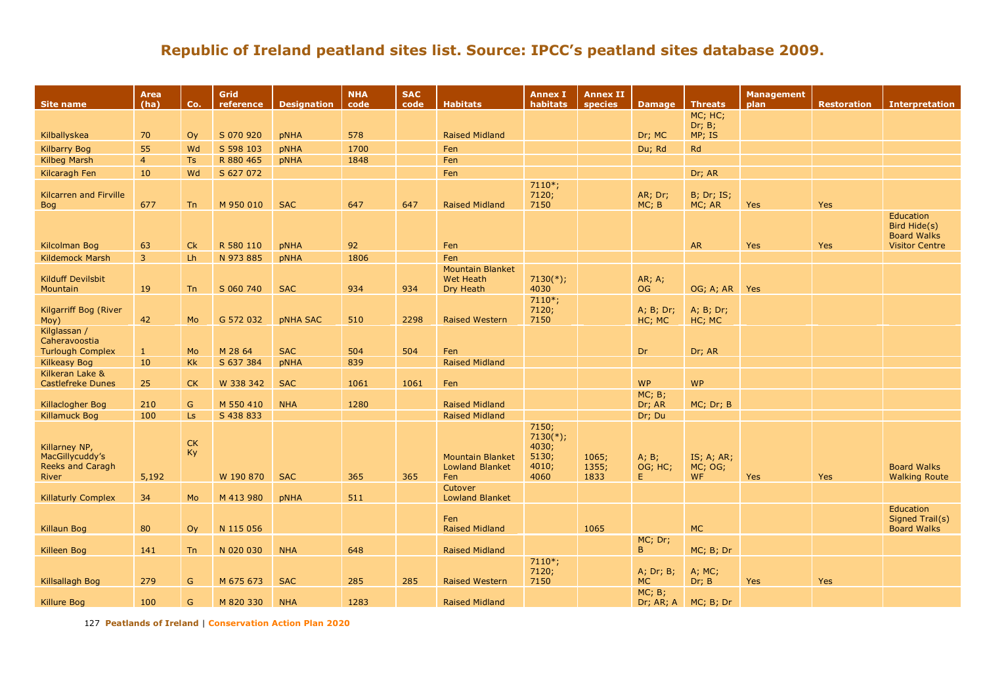| <b>Site name</b>                                              | Area<br>(ha)   | Co.            | Grid<br>reference | <b>Designation</b> | <b>NHA</b><br>code | <b>SAC</b><br>code | <b>Habitats</b>                                          | <b>Annex I</b><br>habitats                              | <b>Annex II</b><br><b>species</b> | <b>Damage</b>          | <b>Threats</b>                     | <b>Management</b><br>plan | <b>Restoration</b> | <b>Interpretation</b>                                                    |
|---------------------------------------------------------------|----------------|----------------|-------------------|--------------------|--------------------|--------------------|----------------------------------------------------------|---------------------------------------------------------|-----------------------------------|------------------------|------------------------------------|---------------------------|--------------------|--------------------------------------------------------------------------|
|                                                               |                |                |                   |                    |                    |                    |                                                          |                                                         |                                   |                        | MC; HC;                            |                           |                    |                                                                          |
| Kilballyskea                                                  | 70             | O <sub>V</sub> | S 070 920         | <b>pNHA</b>        | 578                |                    | <b>Raised Midland</b>                                    |                                                         |                                   | Dr; MC                 | Dr; B;<br>MP; IS                   |                           |                    |                                                                          |
| <b>Kilbarry Bog</b>                                           | 55             | Wd             | S 598 103         | <b>pNHA</b>        | 1700               |                    | Fen                                                      |                                                         |                                   | Du; Rd                 | Rd                                 |                           |                    |                                                                          |
| <b>Kilbeg Marsh</b>                                           | $\overline{4}$ | <b>Ts</b>      | R 880 465         | <b>pNHA</b>        | 1848               |                    | Fen                                                      |                                                         |                                   |                        |                                    |                           |                    |                                                                          |
| Kilcaragh Fen                                                 | 10             | Wd             | S 627 072         |                    |                    |                    | Fen                                                      |                                                         |                                   |                        | Dr; AR                             |                           |                    |                                                                          |
| <b>Kilcarren and Firville</b><br><b>Bog</b>                   | 677            | <b>Tn</b>      | M 950 010         | <b>SAC</b>         | 647                | 647                | <b>Raised Midland</b>                                    | $7110*;$<br>7120;<br>7150                               |                                   | AR; Dr;<br>MC; B       | <b>B</b> ; Dr; IS;<br>MC; AR       | <b>Yes</b>                | Yes                |                                                                          |
| Kilcolman Bog                                                 | 63             | Ck             | R 580 110         | <b>pNHA</b>        | 92                 |                    | Fen                                                      |                                                         |                                   |                        | <b>AR</b>                          | <b>Yes</b>                | Yes                | Education<br>Bird Hide(s)<br><b>Board Walks</b><br><b>Visitor Centre</b> |
| <b>Kildemock Marsh</b>                                        | $\overline{3}$ | L <sub>h</sub> | N 973 885         | <b>pNHA</b>        | 1806               |                    | Fen                                                      |                                                         |                                   |                        |                                    |                           |                    |                                                                          |
| <b>Kilduff Devilsbit</b><br>Mountain                          | 19             | <b>Tn</b>      | S 060 740         | <b>SAC</b>         | 934                | 934                | <b>Mountain Blanket</b><br><b>Wet Heath</b><br>Dry Heath | $7130(*)$ ;<br>4030                                     |                                   | AR; A;<br>OG.          | OG; A; AR                          | Yes                       |                    |                                                                          |
| Kilgarriff Bog (River<br>Moy)                                 | 42             | Mo             | G 572 032         | <b>pNHA SAC</b>    | 510                | 2298               | <b>Raised Western</b>                                    | $7110*;$<br>7120;<br>7150                               |                                   | A; B; Dr;<br>HC; MC    | A; B; Dr;<br>HC; MC                |                           |                    |                                                                          |
| Kilglassan /<br>Caheravoostia                                 |                |                |                   |                    |                    |                    |                                                          |                                                         |                                   |                        |                                    |                           |                    |                                                                          |
| <b>Turlough Complex</b>                                       | 1              | <b>Mo</b>      | M 28 64           | <b>SAC</b>         | 504                | 504                | Fen                                                      |                                                         |                                   | <b>Dr</b>              | Dr; AR                             |                           |                    |                                                                          |
| <b>Kilkeasy Bog</b>                                           | 10             | <b>Kk</b>      | S 637 384         | <b>pNHA</b>        | 839                |                    | <b>Raised Midland</b>                                    |                                                         |                                   |                        |                                    |                           |                    |                                                                          |
| Kilkeran Lake &<br><b>Castlefreke Dunes</b>                   | 25             | <b>CK</b>      | W 338 342         | <b>SAC</b>         | 1061               | 1061               | Fen                                                      |                                                         |                                   | <b>WP</b>              | <b>WP</b>                          |                           |                    |                                                                          |
|                                                               |                |                |                   |                    |                    |                    |                                                          |                                                         |                                   | MC; B;                 |                                    |                           |                    |                                                                          |
| Killaclogher Bog                                              | 210            | $\mathsf{G}$   | M 550 410         | <b>NHA</b>         | 1280               |                    | <b>Raised Midland</b>                                    |                                                         |                                   | Dr; AR                 | MC; Dr; B                          |                           |                    |                                                                          |
| <b>Killamuck Bog</b>                                          | 100            | <b>Ls</b>      | S 438 833         |                    |                    |                    | <b>Raised Midland</b>                                    |                                                         |                                   | Dr; Du                 |                                    |                           |                    |                                                                          |
| Killarney NP,<br>MacGillycuddy's<br>Reeks and Caragh<br>River | 5,192          | CK<br>Ky       | W 190 870         | <b>SAC</b>         | 365                | 365                | <b>Mountain Blanket</b><br><b>Lowland Blanket</b><br>Fen | 7150;<br>$7130(*)$ ;<br>4030;<br>5130;<br>4010;<br>4060 | 1065;<br>1355;<br>1833            | A; B;<br>OG; HC;<br>E. | IS; A; AR;<br>MC; OG;<br><b>WF</b> | <b>Yes</b>                | Yes                | <b>Board Walks</b><br><b>Walking Route</b>                               |
| <b>Killaturly Complex</b>                                     | 34             | Mo             | M 413 980         | <b>pNHA</b>        | 511                |                    | Cutover<br><b>Lowland Blanket</b>                        |                                                         |                                   |                        |                                    |                           |                    |                                                                          |
| <b>Killaun Bog</b>                                            | 80             | Oy             | N 115 056         |                    |                    |                    | Fen<br><b>Raised Midland</b>                             |                                                         | 1065                              |                        | <b>MC</b>                          |                           |                    | Education<br>Signed Trail(s)<br><b>Board Walks</b>                       |
| Killeen Bog                                                   | 141            | Tn             | N 020 030         | <b>NHA</b>         | 648                |                    | <b>Raised Midland</b>                                    |                                                         |                                   | MC; Dr;<br>B.          | MC; B; Dr                          |                           |                    |                                                                          |
|                                                               |                |                |                   |                    |                    |                    |                                                          | $7110*;$<br>7120;                                       |                                   | A; Dr; B;              | A; MC;                             |                           |                    |                                                                          |
| Killsallagh Bog                                               | 279            | G              | M 675 673         | <b>SAC</b>         | 285                | 285                | <b>Raised Western</b>                                    | 7150                                                    |                                   | <b>MC</b>              | Dr; B                              | Yes                       | Yes                |                                                                          |
| Killure Bog                                                   | 100            | G              | M 820 330         | <b>NHA</b>         | 1283               |                    | <b>Raised Midland</b>                                    |                                                         |                                   | MC; B;<br>Dr; AR; A    | MC; B; Dr                          |                           |                    |                                                                          |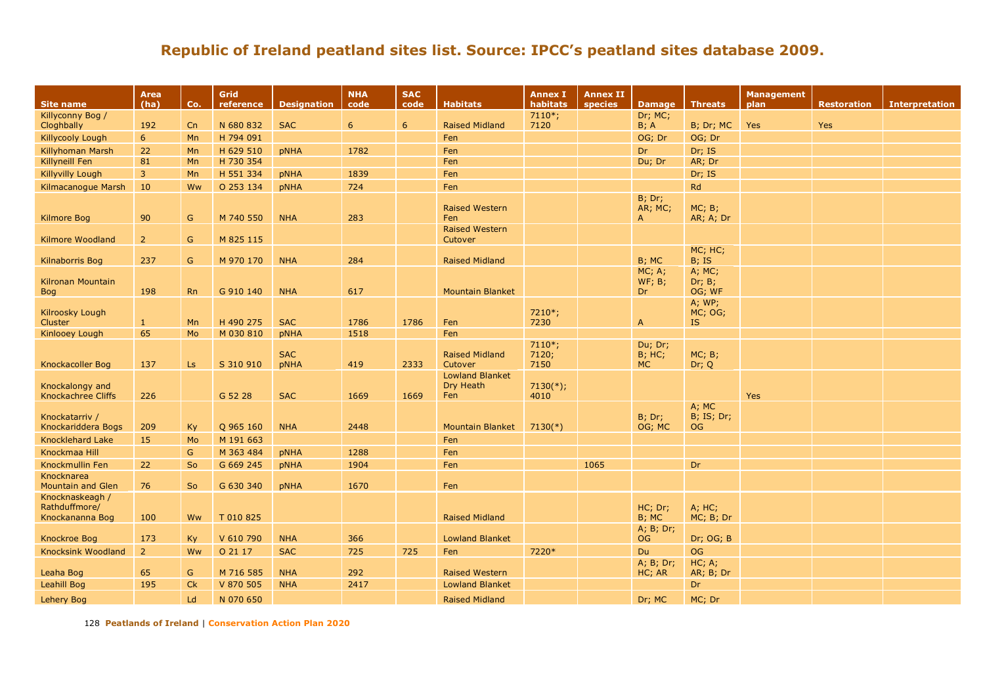| <b>Site name</b>                                    | Area<br>(ha)   | Co.            | Grid<br>reference | <b>Designation</b>        | <b>NHA</b><br>code | <b>SAC</b><br>code | <b>Habitats</b>                            | <b>Annex I</b><br>habitats | <b>Annex II</b><br>species | <b>Damage</b>                        | <b>Threats</b>                    | Management<br>plan | <b>Restoration</b> | <b>Interpretation</b> |
|-----------------------------------------------------|----------------|----------------|-------------------|---------------------------|--------------------|--------------------|--------------------------------------------|----------------------------|----------------------------|--------------------------------------|-----------------------------------|--------------------|--------------------|-----------------------|
| Killyconny Bog /                                    |                |                |                   |                           |                    |                    |                                            | $7110*;$                   |                            | Dr; MC;                              |                                   |                    |                    |                       |
| Cloghbally                                          | 192            | Cn             | N 680 832         | <b>SAC</b>                | 6                  | 6                  | <b>Raised Midland</b>                      | 7120                       |                            | B; A                                 | B; Dr; MC                         | Yes                | Yes                |                       |
| <b>Killycooly Lough</b>                             | 6              | Mn             | H 794 091         |                           |                    |                    | Fen                                        |                            |                            | OG; Dr                               | OG; Dr                            |                    |                    |                       |
| <b>Killyhoman Marsh</b>                             | 22             | Mn             | H 629 510         | <b>pNHA</b>               | 1782               |                    | Fen                                        |                            |                            | Dr                                   | Dr; IS                            |                    |                    |                       |
| Killyneill Fen                                      | 81             | Mn             | H 730 354         |                           |                    |                    | Fen                                        |                            |                            | Du; Dr                               | AR; Dr                            |                    |                    |                       |
| <b>Killyvilly Lough</b>                             | $\overline{3}$ | Mn             | H 551 334         | <b>pNHA</b>               | 1839               |                    | Fen                                        |                            |                            |                                      | Dr; IS                            |                    |                    |                       |
| Kilmacanoque Marsh                                  | 10             | Ww             | O 253 134         | <b>pNHA</b>               | 724                |                    | Fen                                        |                            |                            |                                      | Rd                                |                    |                    |                       |
| <b>Kilmore Bog</b>                                  | 90             | G              | M 740 550         | <b>NHA</b>                | 283                |                    | <b>Raised Western</b><br>Fen               |                            |                            | $B$ ; Dr;<br>AR; MC;<br>$\mathsf{A}$ | MC; B;<br>AR; A; Dr               |                    |                    |                       |
| <b>Kilmore Woodland</b>                             | $\overline{2}$ | G              | M 825 115         |                           |                    |                    | <b>Raised Western</b><br>Cutover           |                            |                            |                                      |                                   |                    |                    |                       |
| Kilnaborris Bog                                     | 237            | G              | M 970 170         | <b>NHA</b>                | 284                |                    | <b>Raised Midland</b>                      |                            |                            | B; MC                                | MC; HC;<br>$B$ ; IS               |                    |                    |                       |
| Kilronan Mountain<br><b>Bog</b>                     | 198            | R <sub>n</sub> | G 910 140         | <b>NHA</b>                | 617                |                    | <b>Mountain Blanket</b>                    |                            |                            | MC; A;<br>WF; B;<br>Dr.              | A; MC;<br>Dr; B;<br>OG; WF        |                    |                    |                       |
| Kilroosky Lough<br><b>Cluster</b>                   | -1             | Mn             | H 490 275         | <b>SAC</b>                | 1786               | 1786               | Fen                                        | 7210*;<br>7230             |                            | $\mathsf{A}$                         | A; WP;<br>MC; OG;<br>IS.          |                    |                    |                       |
| <b>Kinlooey Lough</b>                               | 65             | Mo             | M 030 810         | pNHA                      | 1518               |                    | Fen                                        |                            |                            |                                      |                                   |                    |                    |                       |
| Knockacoller Bog                                    | 137            | Ls.            | S 310 910         | <b>SAC</b><br><b>pNHA</b> | 419                | 2333               | <b>Raised Midland</b><br>Cutover           | $7110*;$<br>7120;<br>7150  |                            | Du; Dr;<br><b>B</b> ; HC;<br>MC      | MC; B;<br>Dr; Q                   |                    |                    |                       |
| Knockalongy and<br><b>Knockachree Cliffs</b>        | 226            |                | G 52 28           | <b>SAC</b>                | 1669               | 1669               | <b>Lowland Blanket</b><br>Dry Heath<br>Fen | $7130(*)$ ;<br>4010        |                            |                                      |                                   | <b>Yes</b>         |                    |                       |
| Knockatarriv /<br>Knockariddera Bogs                | 209            | Ky             | Q 965 160         | <b>NHA</b>                | 2448               |                    | <b>Mountain Blanket</b>                    | $7130(*)$                  |                            | B; Dr;<br>OG; MC                     | A; MC<br><b>B</b> ; IS; Dr;<br>OG |                    |                    |                       |
| <b>Knocklehard Lake</b>                             | 15             | Mo             | M 191 663         |                           |                    |                    | Fen                                        |                            |                            |                                      |                                   |                    |                    |                       |
| Knockmaa Hill                                       |                | $\mathsf{G}$   | M 363 484         | pNHA                      | 1288               |                    | Fen                                        |                            |                            |                                      |                                   |                    |                    |                       |
| Knockmullin Fen                                     | 22             | So             | G 669 245         | <b>pNHA</b>               | 1904               |                    | Fen                                        |                            | 1065                       |                                      | Dr                                |                    |                    |                       |
| Knocknarea<br><b>Mountain and Glen</b>              | 76             | So             | G 630 340         | pNHA                      | 1670               |                    | Fen                                        |                            |                            |                                      |                                   |                    |                    |                       |
| Knocknaskeagh /<br>Rathduffmore/<br>Knockananna Bog | 100            | Ww             | T 010 825         |                           |                    |                    | <b>Raised Midland</b>                      |                            |                            | HC; Dr;<br>B; MC                     | A; HC;<br>MC; B; Dr               |                    |                    |                       |
| <b>Knockroe Bog</b>                                 | 173            | <b>Ky</b>      | V 610 790         | <b>NHA</b>                | 366                |                    | <b>Lowland Blanket</b>                     |                            |                            | A; B; Dr;<br><b>OG</b>               | Dr; OG; B                         |                    |                    |                       |
| <b>Knocksink Woodland</b>                           | 2 <sup>2</sup> | Ww             | O 21 17           | <b>SAC</b>                | 725                | 725                | Fen                                        | 7220*                      |                            | Du                                   | <b>OG</b>                         |                    |                    |                       |
| Leaha Bog                                           | 65             | G              | M 716 585         | <b>NHA</b>                | 292                |                    | <b>Raised Western</b>                      |                            |                            | A; B; Dr;<br>HC; AR                  | HC; A;<br>AR; B; Dr               |                    |                    |                       |
| Leahill Bog                                         | 195            | <b>Ck</b>      | V 870 505         | <b>NHA</b>                | 2417               |                    | <b>Lowland Blanket</b>                     |                            |                            |                                      | <b>Dr</b>                         |                    |                    |                       |
| <b>Lehery Bog</b>                                   |                | Ld             | N 070 650         |                           |                    |                    | <b>Raised Midland</b>                      |                            |                            | Dr; MC                               | MC; Dr                            |                    |                    |                       |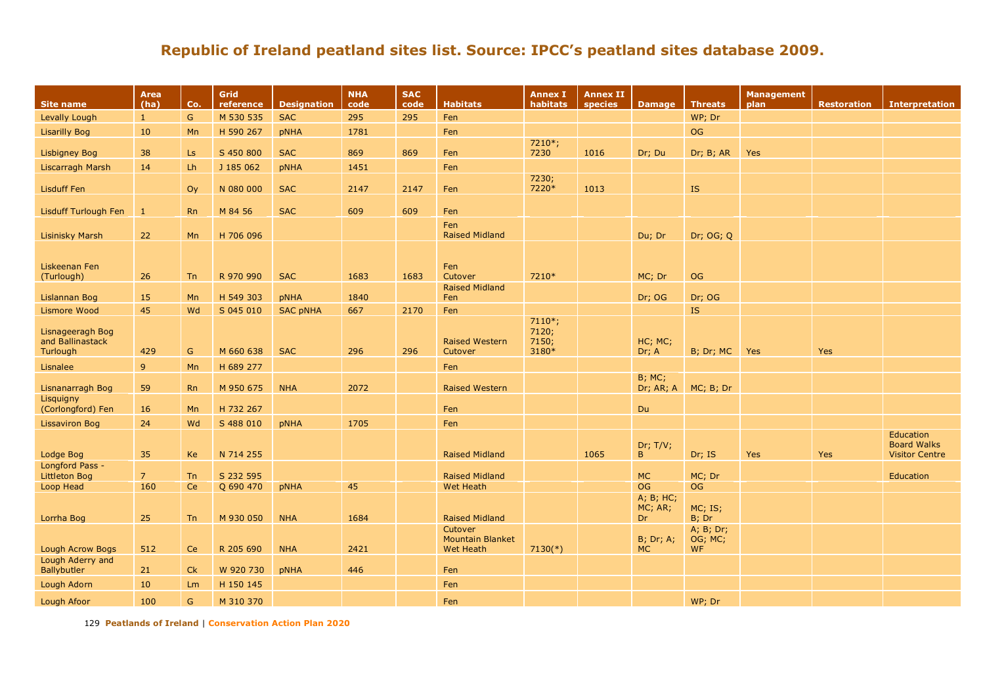| <b>Site name</b>                                 | <b>Area</b><br>(ha) | Co.       | Grid<br>reference      | <b>Designation</b> | <b>NHA</b><br>code | <b>SAC</b><br>code | <b>Habitats</b>                                        | <b>Annex I</b><br>habitats          | <b>Annex II</b><br>species | <b>Damage</b>              | <b>Threats</b>                    | <b>Management</b><br>plan | <b>Restoration</b> | <b>Interpretation</b>                                           |
|--------------------------------------------------|---------------------|-----------|------------------------|--------------------|--------------------|--------------------|--------------------------------------------------------|-------------------------------------|----------------------------|----------------------------|-----------------------------------|---------------------------|--------------------|-----------------------------------------------------------------|
| Levally Lough                                    | $\mathbf{1}$        | G         | M 530 535              | <b>SAC</b>         | 295                | 295                | Fen                                                    |                                     |                            |                            | WP; Dr                            |                           |                    |                                                                 |
| <b>Lisarilly Bog</b>                             | 10                  | Mn        | H 590 267              | pNHA               | 1781               |                    | Fen                                                    |                                     |                            |                            | <b>OG</b>                         |                           |                    |                                                                 |
| <b>Lisbigney Bog</b>                             | 38                  | Ls        | S 450 800              | <b>SAC</b>         | 869                | 869                | Fen                                                    | 7210*;<br>7230                      | 1016                       | Dr; Du                     | Dr; B; AR                         | <b>Yes</b>                |                    |                                                                 |
| Liscarragh Marsh                                 | 14                  | Lh        | J 185 062              | pNHA               | 1451               |                    | Fen                                                    |                                     |                            |                            |                                   |                           |                    |                                                                 |
| <b>Lisduff Fen</b>                               |                     | Oy        | N 080 000              | <b>SAC</b>         | 2147               | 2147               | Fen                                                    | 7230;<br>7220*                      | 1013                       |                            | <b>IS</b>                         |                           |                    |                                                                 |
| Lisduff Turlough Fen                             | $\mathbf{1}$        | <b>Rn</b> | M 84 56                | <b>SAC</b>         | 609                | 609                | Fen                                                    |                                     |                            |                            |                                   |                           |                    |                                                                 |
| <b>Lisinisky Marsh</b>                           | 22                  | Mn        | H 706 096              |                    |                    |                    | Fen<br><b>Raised Midland</b>                           |                                     |                            | Du; Dr                     | Dr; OG; Q                         |                           |                    |                                                                 |
| Liskeenan Fen<br>(Turlough)                      | 26                  | <b>Tn</b> | R 970 990              | <b>SAC</b>         | 1683               | 1683               | Fen<br>Cutover                                         | 7210*                               |                            | MC; Dr                     | <b>OG</b>                         |                           |                    |                                                                 |
| Lislannan Bog                                    | 15                  | Mn        | H 549 303              | <b>pNHA</b>        | 1840               |                    | <b>Raised Midland</b><br>Fen                           |                                     |                            | Dr; OG                     | Dr; OG                            |                           |                    |                                                                 |
| Lismore Wood                                     | 45                  | Wd        | S 045 010              | <b>SAC pNHA</b>    | 667                | 2170               | Fen                                                    |                                     |                            |                            | <b>IS</b>                         |                           |                    |                                                                 |
| Lisnageeragh Bog<br>and Ballinastack<br>Turlough | 429                 | G         | M 660 638              | <b>SAC</b>         | 296                | 296                | <b>Raised Western</b><br>Cutover                       | $7110*;$<br>7120;<br>7150;<br>3180* |                            | HC; MC;<br>Dr; A           | B; Dr; MC                         | <b>Yes</b>                | Yes                |                                                                 |
| Lisnalee                                         | 9 <sup>°</sup>      | Mn        | H 689 277              |                    |                    |                    | Fen                                                    |                                     |                            |                            |                                   |                           |                    |                                                                 |
|                                                  |                     |           |                        |                    |                    |                    |                                                        |                                     |                            | <b>B</b> ; MC;             |                                   |                           |                    |                                                                 |
| Lisnanarragh Bog<br>Lisquigny                    | 59                  | <b>Rn</b> | M 950 675              | <b>NHA</b>         | 2072               |                    | <b>Raised Western</b>                                  |                                     |                            | Dr; AR; A                  | MC; B; Dr                         |                           |                    |                                                                 |
| (Corlongford) Fen                                | 16                  | Mn        | H 732 267              |                    |                    |                    | Fen                                                    |                                     |                            | Du                         |                                   |                           |                    |                                                                 |
| <b>Lissaviron Bog</b>                            | 24                  | Wd        | S 488 010              | pNHA               | 1705               |                    | Fen                                                    |                                     |                            |                            |                                   |                           |                    |                                                                 |
| Lodge Bog                                        | 35                  | <b>Ke</b> | N 714 255              |                    |                    |                    | <b>Raised Midland</b>                                  |                                     | 1065                       | Dr; T/V;<br>B.             | Dr; IS                            | <b>Yes</b>                | <b>Yes</b>         | <b>Education</b><br><b>Board Walks</b><br><b>Visitor Centre</b> |
| Longford Pass -<br><b>Littleton Bog</b>          | 7 <sup>7</sup>      | <b>Tn</b> | S 232 595              |                    |                    |                    | <b>Raised Midland</b>                                  |                                     |                            | <b>MC</b>                  | MC; Dr                            |                           |                    | Education                                                       |
| Loop Head                                        | 160                 | Ce        | Q 690 470              | pNHA               | 45                 |                    | <b>Wet Heath</b>                                       |                                     |                            | <b>OG</b>                  | <b>OG</b>                         |                           |                    |                                                                 |
| Lorrha Bog                                       | 25                  | Tn        | M 930 050              | <b>NHA</b>         | 1684               |                    | <b>Raised Midland</b>                                  |                                     |                            | A; B; HC;<br>MC; AR;<br>Dr | MC; IS;<br>B; Dr                  |                           |                    |                                                                 |
| <b>Lough Acrow Bogs</b>                          | 512                 | <b>Ce</b> | R 205 690              | <b>NHA</b>         | 2421               |                    | Cutover<br><b>Mountain Blanket</b><br><b>Wet Heath</b> | $7130(*)$                           |                            | $B$ ; Dr; A;<br><b>MC</b>  | A; B; Dr;<br>OG; MC;<br><b>WF</b> |                           |                    |                                                                 |
| Lough Aderry and                                 |                     |           |                        |                    |                    |                    |                                                        |                                     |                            |                            |                                   |                           |                    |                                                                 |
| Ballybutler<br>Lough Adorn                       | 21<br>10            | Ck        | W 920 730<br>H 150 145 | pNHA               | 446                |                    | Fen<br>Fen                                             |                                     |                            |                            |                                   |                           |                    |                                                                 |
| Lough Afoor                                      | 100                 | Lm<br>G   | M 310 370              |                    |                    |                    | Fen                                                    |                                     |                            |                            | WP; Dr                            |                           |                    |                                                                 |
|                                                  |                     |           |                        |                    |                    |                    |                                                        |                                     |                            |                            |                                   |                           |                    |                                                                 |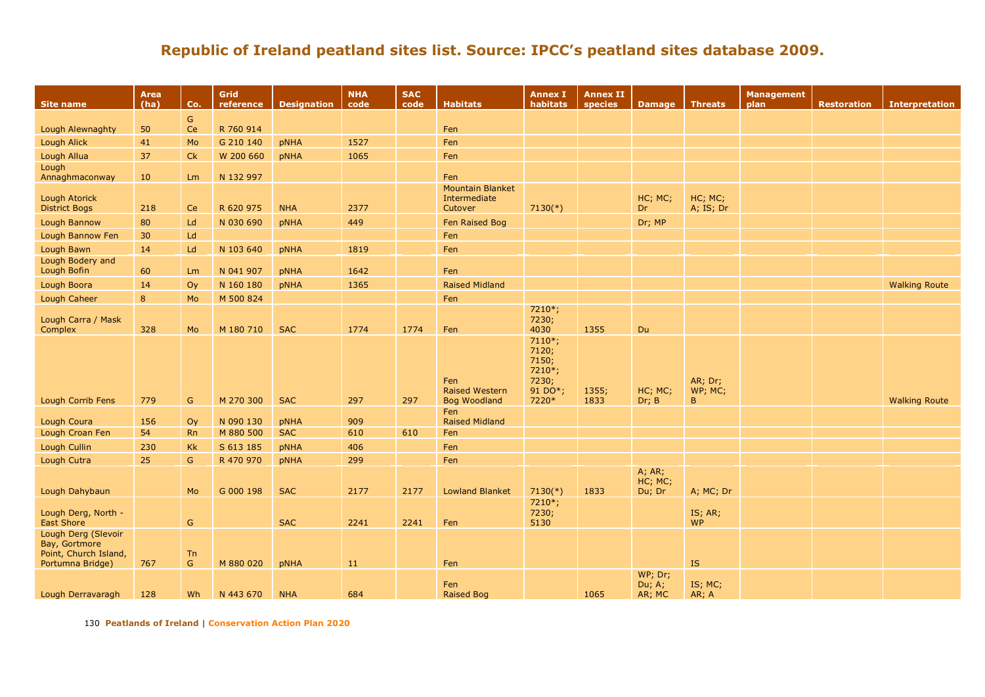| <b>Site name</b>                                                                  | Area<br>(ha) | Co.           | Grid<br>reference | <b>Designation</b> | <b>NHA</b><br>code | <b>SAC</b><br>code | <b>Habitats</b>                                     | <b>Annex I</b><br>habitats                                        | <b>Annex II</b><br>species | <b>Damage</b>               | <b>Threats</b>                     | Management<br>plan | <b>Restoration</b> | <b>Interpretation</b> |
|-----------------------------------------------------------------------------------|--------------|---------------|-------------------|--------------------|--------------------|--------------------|-----------------------------------------------------|-------------------------------------------------------------------|----------------------------|-----------------------------|------------------------------------|--------------------|--------------------|-----------------------|
|                                                                                   |              | ${\mathsf G}$ |                   |                    |                    |                    |                                                     |                                                                   |                            |                             |                                    |                    |                    |                       |
| <b>Lough Alewnaghty</b>                                                           | 50           | Ce            | R 760 914         |                    |                    |                    | Fen                                                 |                                                                   |                            |                             |                                    |                    |                    |                       |
| <b>Lough Alick</b>                                                                | 41           | Mo            | G 210 140         | <b>pNHA</b>        | 1527               |                    | Fen                                                 |                                                                   |                            |                             |                                    |                    |                    |                       |
| Lough Allua                                                                       | 37           | Ck            | W 200 660         | <b>pNHA</b>        | 1065               |                    | Fen                                                 |                                                                   |                            |                             |                                    |                    |                    |                       |
| Lough                                                                             |              |               |                   |                    |                    |                    |                                                     |                                                                   |                            |                             |                                    |                    |                    |                       |
| Annaghmaconway                                                                    | 10           | Lm            | N 132 997         |                    |                    |                    | Fen<br><b>Mountain Blanket</b>                      |                                                                   |                            |                             |                                    |                    |                    |                       |
| <b>Lough Atorick</b>                                                              |              |               |                   |                    |                    |                    | Intermediate                                        |                                                                   |                            | HC; MC;                     | HC; MC;                            |                    |                    |                       |
| <b>District Bogs</b>                                                              | 218          | Ce            | R 620 975         | <b>NHA</b>         | 2377               |                    | Cutover                                             | $7130(*)$                                                         |                            | Dr.                         | A; IS; Dr                          |                    |                    |                       |
| Lough Bannow                                                                      | 80           | Ld            | N 030 690         | <b>pNHA</b>        | 449                |                    | Fen Raised Bog                                      |                                                                   |                            | Dr; MP                      |                                    |                    |                    |                       |
| Lough Bannow Fen                                                                  | 30           | Ld            |                   |                    |                    |                    | Fen                                                 |                                                                   |                            |                             |                                    |                    |                    |                       |
| Lough Bawn                                                                        | 14           | Ld            | N 103 640         | <b>pNHA</b>        | 1819               |                    | Fen                                                 |                                                                   |                            |                             |                                    |                    |                    |                       |
| Lough Bodery and                                                                  |              |               |                   |                    |                    |                    |                                                     |                                                                   |                            |                             |                                    |                    |                    |                       |
| Lough Bofin                                                                       | 60           | Lm            | N 041 907         | <b>pNHA</b>        | 1642               |                    | Fen                                                 |                                                                   |                            |                             |                                    |                    |                    |                       |
| Lough Boora                                                                       | 14           | Oy            | N 160 180         | <b>pNHA</b>        | 1365               |                    | <b>Raised Midland</b>                               |                                                                   |                            |                             |                                    |                    |                    | <b>Walking Route</b>  |
| Lough Caheer                                                                      | 8            | Mo            | M 500 824         |                    |                    |                    | Fen                                                 |                                                                   |                            |                             |                                    |                    |                    |                       |
| Lough Carra / Mask                                                                |              |               |                   |                    |                    |                    |                                                     | 7210*;<br>7230;                                                   |                            |                             |                                    |                    |                    |                       |
| Complex                                                                           | 328          | Mo            | M 180 710         | <b>SAC</b>         | 1774               | 1774               | Fen                                                 | 4030                                                              | 1355                       | Du                          |                                    |                    |                    |                       |
| Lough Corrib Fens                                                                 | 779          | G             | M 270 300         | <b>SAC</b>         | 297                | 297                | Fen<br><b>Raised Western</b><br><b>Bog Woodland</b> | $7110*;$<br>7120;<br>7150;<br>7210*;<br>7230;<br>91 DO*;<br>7220* | 1355;<br>1833              | HC; MC;<br>Dr; B            | AR; Dr;<br>WP; MC;<br>$\mathsf B$  |                    |                    | <b>Walking Route</b>  |
|                                                                                   |              |               |                   |                    |                    |                    | Fen                                                 |                                                                   |                            |                             |                                    |                    |                    |                       |
| Lough Coura                                                                       | 156          | Oy            | N 090 130         | <b>pNHA</b>        | 909                |                    | <b>Raised Midland</b>                               |                                                                   |                            |                             |                                    |                    |                    |                       |
| Lough Croan Fen                                                                   | 54           | <b>Rn</b>     | M 880 500         | <b>SAC</b>         | 610                | 610                | Fen                                                 |                                                                   |                            |                             |                                    |                    |                    |                       |
| Lough Cullin                                                                      | 230          | Kk            | S 613 185         | <b>pNHA</b>        | 406                |                    | Fen                                                 |                                                                   |                            |                             |                                    |                    |                    |                       |
| Lough Cutra                                                                       | 25           | G             | R 470 970         | <b>pNHA</b>        | 299                |                    | Fen                                                 |                                                                   |                            | A; AR;                      |                                    |                    |                    |                       |
| Lough Dahybaun                                                                    |              | Mo            | G 000 198         | <b>SAC</b>         | 2177               | 2177               | <b>Lowland Blanket</b>                              | $7130(*)$                                                         | 1833                       | HC; MC;<br>Du; Dr           | A; MC; Dr                          |                    |                    |                       |
| Lough Derg, North -<br><b>East Shore</b>                                          |              | ${\mathsf G}$ |                   | <b>SAC</b>         | 2241               | 2241               | Fen                                                 | 7210*;<br>7230;<br>5130                                           |                            |                             | IS; AR;<br><b>WP</b>               |                    |                    |                       |
| Lough Derg (Slevoir<br>Bay, Gortmore<br>Point, Church Island,<br>Portumna Bridge) | 767          | Tn<br>G       | M 880 020         | <b>pNHA</b>        | 11                 |                    | Fen                                                 |                                                                   |                            |                             | $\mathbf{IS}% _{T}\left( X\right)$ |                    |                    |                       |
| Lough Derravaragh                                                                 | 128          | Wh            | N 443 670         | <b>NHA</b>         | 684                |                    | Fen<br>Raised Bog                                   |                                                                   | 1065                       | WP; Dr;<br>Du; A;<br>AR; MC | IS; MC;<br>AR; A                   |                    |                    |                       |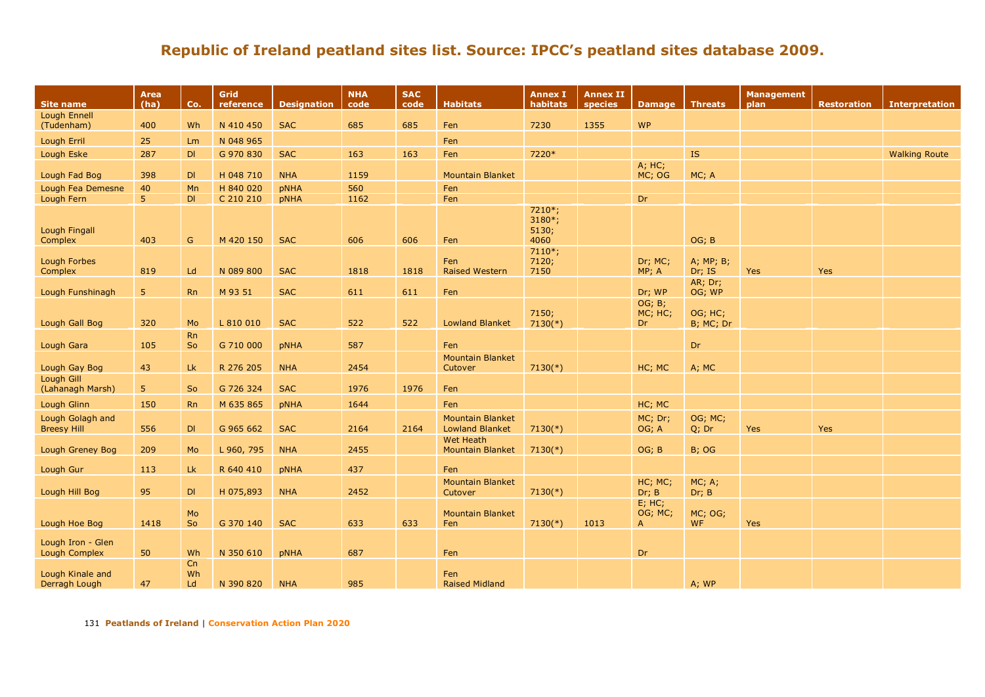|                                           | Area<br>(ha)   | Co.             | Grid       |                    | <b>NHA</b> | <b>SAC</b> | <b>Habitats</b>                                   | <b>Annex I</b>                      | <b>Annex II</b> |                                      |                      | <b>Management</b> |                    |                       |
|-------------------------------------------|----------------|-----------------|------------|--------------------|------------|------------|---------------------------------------------------|-------------------------------------|-----------------|--------------------------------------|----------------------|-------------------|--------------------|-----------------------|
| <b>Site name</b>                          |                |                 | reference  | <b>Designation</b> | code       | code       |                                                   | habitats                            | species         | <b>Damage</b>                        | <b>Threats</b>       | plan              | <b>Restoration</b> | <b>Interpretation</b> |
| Lough Ennell<br>(Tudenham)                | 400            | Wh              | N 410 450  | <b>SAC</b>         | 685        | 685        | Fen                                               | 7230                                | 1355            | <b>WP</b>                            |                      |                   |                    |                       |
| Lough Erril                               | 25             | Lm              | N 048 965  |                    |            |            | Fen                                               |                                     |                 |                                      |                      |                   |                    |                       |
| Lough Eske                                | 287            | DI              | G 970 830  | <b>SAC</b>         | 163        | 163        | Fen                                               | 7220*                               |                 |                                      | IS                   |                   |                    | <b>Walking Route</b>  |
|                                           |                |                 |            |                    |            |            |                                                   |                                     |                 | A; HC;                               |                      |                   |                    |                       |
| Lough Fad Bog                             | 398            | DI              | H 048 710  | <b>NHA</b>         | 1159       |            | <b>Mountain Blanket</b>                           |                                     |                 | MC; OG                               | MC; A                |                   |                    |                       |
| Lough Fea Demesne                         | 40             | Mn              | H 840 020  | pNHA               | 560        |            | Fen                                               |                                     |                 |                                      |                      |                   |                    |                       |
| Lough Fern                                | 5 <sup>1</sup> | DI              | C 210 210  | pNHA               | 1162       |            | Fen                                               |                                     |                 | Dr                                   |                      |                   |                    |                       |
| <b>Lough Fingall</b><br>Complex           | 403            | G               | M 420 150  | <b>SAC</b>         | 606        | 606        | Fen                                               | 7210*;<br>$3180*;$<br>5130;<br>4060 |                 |                                      | OG; B                |                   |                    |                       |
| Lough Forbes<br>Complex                   | 819            | Ld              | N 089 800  | <b>SAC</b>         | 1818       | 1818       | Fen<br><b>Raised Western</b>                      | $7110*;$<br>7120;<br>7150           |                 | Dr; MC;<br>MP; A                     | A; MP; B;<br>Dr; IS  | <b>Yes</b>        | Yes                |                       |
| Lough Funshinagh                          | 5 <sup>1</sup> | <b>Rn</b>       | M 93 51    | <b>SAC</b>         | 611        | 611        | Fen                                               |                                     |                 | Dr; WP                               | AR; Dr;<br>OG; WP    |                   |                    |                       |
| Lough Gall Bog                            | 320            | Mo              | L 810 010  | <b>SAC</b>         | 522        | 522        | <b>Lowland Blanket</b>                            | 7150;<br>$7130(*)$                  |                 | OG; B;<br>MC; HC;<br>Dr.             | OG; HC;<br>B; MC; Dr |                   |                    |                       |
|                                           |                |                 |            |                    |            |            |                                                   |                                     |                 |                                      |                      |                   |                    |                       |
| Lough Gara                                | 105            | <b>Rn</b><br>So | G 710 000  | pNHA               | 587        |            | Fen                                               |                                     |                 |                                      | Dr                   |                   |                    |                       |
| Lough Gay Bog                             | 43             | Lk              | R 276 205  | <b>NHA</b>         | 2454       |            | <b>Mountain Blanket</b><br>Cutover                | $7130(*)$                           |                 | HC; MC                               | A; MC                |                   |                    |                       |
| Lough Gill<br>(Lahanagh Marsh)            | 5 <sup>°</sup> | So              | G 726 324  | <b>SAC</b>         | 1976       | 1976       | Fen                                               |                                     |                 |                                      |                      |                   |                    |                       |
| Lough Glinn                               | 150            | <b>Rn</b>       | M 635 865  | pNHA               | 1644       |            | Fen                                               |                                     |                 | HC; MC                               |                      |                   |                    |                       |
| Lough Golagh and<br><b>Breesy Hill</b>    | 556            | DI              | G 965 662  | <b>SAC</b>         | 2164       | 2164       | <b>Mountain Blanket</b><br><b>Lowland Blanket</b> | $7130(*)$                           |                 | MC; Dr;<br>OG; A                     | OG; MC;<br>Q; Dr     | Yes               | Yes                |                       |
| Lough Greney Bog                          | 209            | Mo              | L 960, 795 | <b>NHA</b>         | 2455       |            | <b>Wet Heath</b><br><b>Mountain Blanket</b>       | $7130(*)$                           |                 | OG; B                                | <b>B</b> ; OG        |                   |                    |                       |
| Lough Gur                                 | 113            | Lk              | R 640 410  | pNHA               | 437        |            | Fen                                               |                                     |                 |                                      |                      |                   |                    |                       |
| Lough Hill Bog                            | 95             | DI              | H 075,893  | <b>NHA</b>         | 2452       |            | <b>Mountain Blanket</b><br>Cutover                | $7130(*)$                           |                 | HC; MC;<br>Dr; B                     | MC; A;<br>Dr; B      |                   |                    |                       |
| Lough Hoe Bog                             | 1418           | Mo<br>So        | G 370 140  | <b>SAC</b>         | 633        | 633        | <b>Mountain Blanket</b><br>Fen                    | $7130(*)$                           | 1013            | $E$ ; HC;<br>OG; MC;<br>$\mathsf{A}$ | MC; OG;<br><b>WF</b> | Yes               |                    |                       |
| Lough Iron - Glen<br><b>Lough Complex</b> | 50             | Wh              | N 350 610  | pNHA               | 687        |            | Fen                                               |                                     |                 | Dr                                   |                      |                   |                    |                       |
| Lough Kinale and<br>Derragh Lough         | 47             | Cn<br>Wh<br>Ld  | N 390 820  | <b>NHA</b>         | 985        |            | Fen<br><b>Raised Midland</b>                      |                                     |                 |                                      | A; WP                |                   |                    |                       |